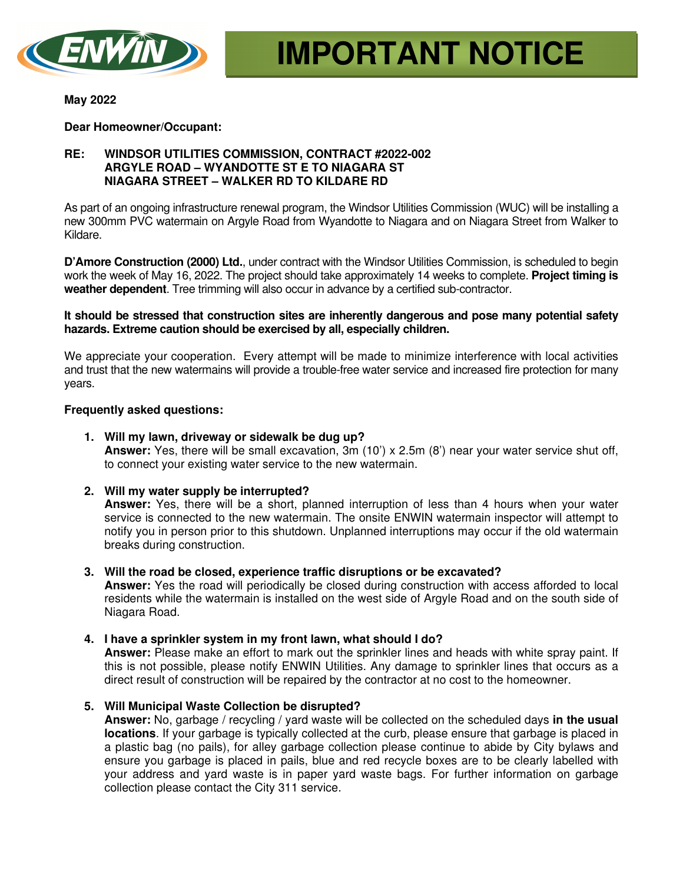

**May 2022** 

**Dear Homeowner/Occupant:** 

# **RE: WINDSOR UTILITIES COMMISSION, CONTRACT #2022-002 ARGYLE ROAD – WYANDOTTE ST E TO NIAGARA ST NIAGARA STREET – WALKER RD TO KILDARE RD**

As part of an ongoing infrastructure renewal program, the Windsor Utilities Commission (WUC) will be installing a new 300mm PVC watermain on Argyle Road from Wyandotte to Niagara and on Niagara Street from Walker to Kildare.

**D'Amore Construction (2000) Ltd.**, under contract with the Windsor Utilities Commission, is scheduled to begin work the week of May 16, 2022. The project should take approximately 14 weeks to complete. **Project timing is weather dependent**. Tree trimming will also occur in advance by a certified sub-contractor.

# **It should be stressed that construction sites are inherently dangerous and pose many potential safety hazards. Extreme caution should be exercised by all, especially children.**

We appreciate your cooperation. Every attempt will be made to minimize interference with local activities and trust that the new watermains will provide a trouble-free water service and increased fire protection for many years.

# **Frequently asked questions:**

# **1. Will my lawn, driveway or sidewalk be dug up?**

**Answer:** Yes, there will be small excavation, 3m (10') x 2.5m (8') near your water service shut off, to connect your existing water service to the new watermain.

# **2. Will my water supply be interrupted?**

**Answer:** Yes, there will be a short, planned interruption of less than 4 hours when your water service is connected to the new watermain. The onsite ENWIN watermain inspector will attempt to notify you in person prior to this shutdown. Unplanned interruptions may occur if the old watermain breaks during construction.

# **3. Will the road be closed, experience traffic disruptions or be excavated?**

**Answer:** Yes the road will periodically be closed during construction with access afforded to local residents while the watermain is installed on the west side of Argyle Road and on the south side of Niagara Road.

# **4. I have a sprinkler system in my front lawn, what should I do?**

**Answer:** Please make an effort to mark out the sprinkler lines and heads with white spray paint. If this is not possible, please notify ENWIN Utilities. Any damage to sprinkler lines that occurs as a direct result of construction will be repaired by the contractor at no cost to the homeowner.

# **5. Will Municipal Waste Collection be disrupted?**

**Answer:** No, garbage / recycling / yard waste will be collected on the scheduled days **in the usual locations**. If your garbage is typically collected at the curb, please ensure that garbage is placed in a plastic bag (no pails), for alley garbage collection please continue to abide by City bylaws and ensure you garbage is placed in pails, blue and red recycle boxes are to be clearly labelled with your address and yard waste is in paper yard waste bags. For further information on garbage collection please contact the City 311 service.